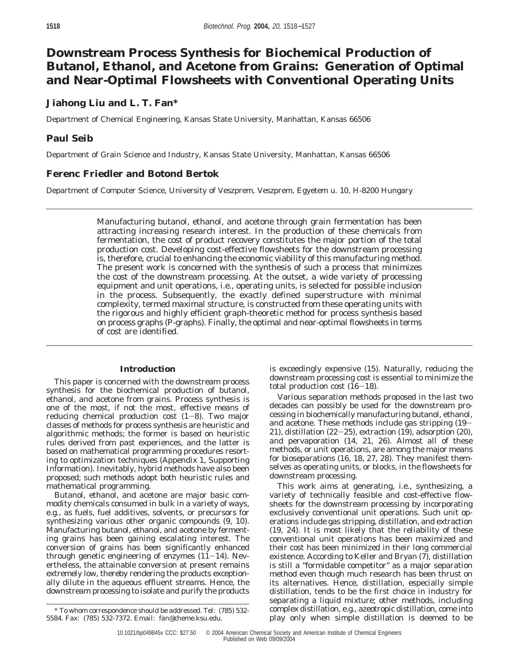# **Downstream Process Synthesis for Biochemical Production of Butanol, Ethanol, and Acetone from Grains: Generation of Optimal and Near-Optimal Flowsheets with Conventional Operating Units**

# **Jiahong Liu and L. T. Fan\***

Department of Chemical Engineering, Kansas State University, Manhattan, Kansas 66506

# **Paul Seib**

Department of Grain Science and Industry, Kansas State University, Manhattan, Kansas 66506

# **Ferenc Friedler and Botond Bertok**

Department of Computer Science, University of Veszprem, Veszprem, Egyetem u. 10, H-8200 Hungary

Manufacturing butanol, ethanol, and acetone through grain fermentation has been attracting increasing research interest. In the production of these chemicals from fermentation, the cost of product recovery constitutes the major portion of the total production cost. Developing cost-effective flowsheets for the downstream processing is, therefore, crucial to enhancing the economic viability of this manufacturing method. The present work is concerned with the synthesis of such a process that minimizes the cost of the downstream processing. At the outset, a wide variety of processing equipment and unit operations, i.e., operating units, is selected for possible inclusion in the process. Subsequently, the exactly defined superstructure with minimal complexity, termed maximal structure, is constructed from these operating units with the rigorous and highly efficient graph-theoretic method for process synthesis based on process graphs (P-graphs). Finally, the optimal and near-optimal flowsheets in terms of cost are identified.

## **Introduction**

This paper is concerned with the downstream process synthesis for the biochemical production of butanol, ethanol, and acetone from grains. Process synthesis is one of the most, if not the most, effective means of reducing chemical production cost (*1*-*8*). Two major classes of methods for process synthesis are heuristic and algorithmic methods; the former is based on heuristic rules derived from past experiences, and the latter is based on mathematical programming procedures resorting to optimization techniques (Appendix 1, Supporting Information). Inevitably, hybrid methods have also been proposed; such methods adopt both heuristic rules and mathematical programming.

Butanol, ethanol, and acetone are major basic commodity chemicals consumed in bulk in a variety of ways, e.g., as fuels, fuel additives, solvents, or precursors for synthesizing various other organic compounds (*9, 10*). Manufacturing butanol, ethanol, and acetone by fermenting grains has been gaining escalating interest. The conversion of grains has been significantly enhanced through genetic engineering of enzymes (*11*-*14*). Nevertheless, the attainable conversion at present remains extremely low, thereby rendering the products exceptionally dilute in the aqueous effluent streams. Hence, the downstream processing to isolate and purify the products

is exceedingly expensive (*15*). Naturally, reducing the downstream processing cost is essential to minimize the total production cost (*16*-*18*).

Various separation methods proposed in the last two decades can possibly be used for the downstream processing in biochemically manufacturing butanol, ethanol, and acetone. These methods include gas stripping (*19*- *<sup>21</sup>*), distillation (*22*-*25*), extraction (*19*), adsorption (*20*), and pervaporation (*14, 21, 26*). Almost all of these methods, or unit operations, are among the major means for bioseparations (*16, 18, 27, 28*). They manifest themselves as operating units, or blocks, in the flowsheets for downstream processing.

This work aims at generating, i.e., synthesizing, a variety of technically feasible and cost-effective flowsheets for the downstream processing by incorporating exclusively conventional unit operations. Such unit operations include gas stripping, distillation, and extraction (*19, 24*). It is most likely that the reliability of these conventional unit operations has been maximized and their cost has been minimized in their long commercial existence. According to Keller and Bryan (*7*), distillation is still a "formidable competitor" as a major separation method even though much research has been thrust on its alternatives. Hence, distillation, especially simple distillation, tends to be the first choice in industry for separating a liquid mixture; other methods, including complex distillation, e.g., azeotropic distillation, come into play only when simple distillation is deemed to be

<sup>\*</sup> To whom correspondence should be addressed. Tel: (785) 532- 5584. Fax: (785) 532-7372. Email: fan@cheme.ksu.edu.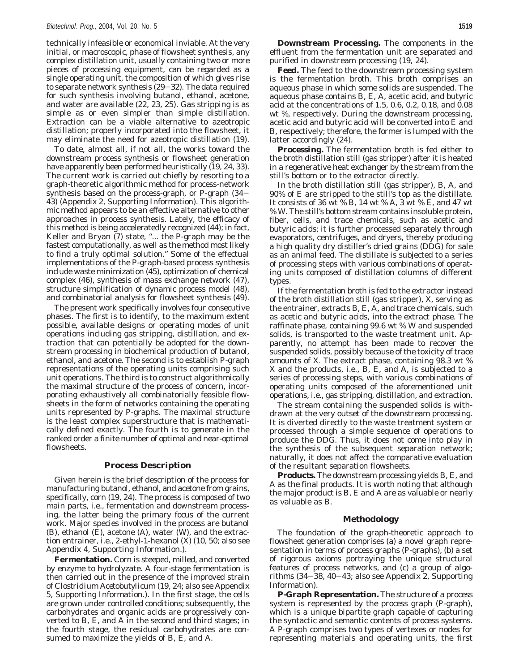technically infeasible or economical inviable. At the very initial, or macroscopic, phase of flowsheet synthesis, any complex distillation unit, usually containing two or more pieces of processing equipment, can be regarded as a single operating unit, the composition of which gives rise to separate network synthesis (*29*-*32*). The data required for such synthesis involving butanol, ethanol, acetone, and water are available (*22, 23, 25*). Gas stripping is as simple as or even simpler than simple distillation. Extraction can be a viable alternative to azeotropic distillation; properly incorporated into the flowsheet, it may eliminate the need for azeotropic distillation (*19*).

To date, almost all, if not all, the works toward the downstream process synthesis or flowsheet generation have apparently been performed heuristically (*19, 24, 33*). The current work is carried out chiefly by resorting to a graph-theoretic algorithmic method for process-network synthesis based on the process-graph, or P-graph (*34*- *43*) (Appendix 2, Supporting Information). This algorithmic method appears to be an effective alternative to other approaches in process synthesis. Lately, the efficacy of this method is being acceleratedly recognized (*44*); in fact, Keller and Bryan  $(7)$  state, "... the P-graph may be the fastest computationally, as well as the method most likely to find a truly optimal solution." Some of the effectual implementations of the P-graph-based process synthesis include waste minimization (*45*), optimization of chemical complex (*46*), synthesis of mass exchange network (*47*), structure simplification of dynamic process model (*48*), and combinatorial analysis for flowsheet synthesis (*49*).

The present work specifically involves four consecutive phases. The first is to identify, to the maximum extent possible, available designs or operating modes of unit operations including gas stripping, distillation, and extraction that can potentially be adopted for the downstream processing in biochemical production of butanol, ethanol, and acetone. The second is to establish P-graph representations of the operating units comprising such unit operations. The third is to construct algorithmically the maximal structure of the process of concern, incorporating exhaustively all combinatorially feasible flowsheets in the form of networks containing the operating units represented by P-graphs. The maximal structure is the least complex superstructure that is mathematically defined exactly. The fourth is to generate in the ranked order a finite number of optimal and near-optimal flowsheets.

### **Process Description**

Given herein is the brief description of the process for manufacturing butanol, ethanol, and acetone from grains, specifically, corn (*19, 24*). The process is composed of two main parts, i.e., fermentation and downstream processing, the latter being the primary focus of the current work. Major species involved in the process are butanol (B), ethanol (E), acetone (A), water (W), and the extraction entrainer, i.e., 2-ethyl-1-hexanol (X) (*10, 50*; also see Appendix 4, Supporting Information.).

**Fermentation.** Corn is steeped, milled, and converted by enzyme to hydrolyzate. A four-stage fermentation is then carried out in the presence of the improved strain of *Clostridium Acetobutylicum* (*19, 24*; also see Appendix 5, Supporting Information.). In the first stage, the cells are grown under controlled conditions; subsequently, the carbohydrates and organic acids are progressively converted to B, E, and A in the second and third stages; in the fourth stage, the residual carbohydrates are consumed to maximize the yields of B, E, and A.

*Feed.* The feed to the downstream processing system is the fermentation broth. This broth comprises an aqueous phase in which some solids are suspended. The aqueous phase contains B, E, A, acetic acid, and butyric acid at the concentrations of 1.5, 0.6, 0.2, 0.18, and 0.08 wt %, respectively. During the downstream processing, acetic acid and butyric acid will be converted into E and B, respectively; therefore, the former is lumped with the latter accordingly (*24*).

*Processing.* The fermentation broth is fed either to the broth distillation still (gas stripper) after it is heated in a regenerative heat exchanger by the stream from the still's bottom or to the extractor directly.

In the broth distillation still (gas stripper), B, A, and 90% of E are stripped to the still's top as the distillate. It consists of 36 wt % B, 14 wt % A, 3 wt % E, and 47 wt % W. The still's bottom stream contains insoluble protein, fiber, cells, and trace chemicals, such as acetic and butyric acids; it is further processed separately through evaporators, centrifuges, and dryers, thereby producing a high quality dry distiller's dried grains (DDG) for sale as an animal feed. The distillate is subjected to a series of processing steps with various combinations of operating units composed of distillation columns of different types.

If the fermentation broth is fed to the extractor instead of the broth distillation still (gas stripper), X, serving as the entrainer, extracts B, E, A, and trace chemicals, such as acetic and butyric acids, into the extract phase. The raffinate phase, containing 99.6 wt % W and suspended solids, is transported to the waste treatment unit. Apparently, no attempt has been made to recover the suspended solids, possibly because of the toxicity of trace amounts of X. The extract phase, containing 98.3 wt % X and the products, i.e., B, E, and A, is subjected to a series of processing steps, with various combinations of operating units composed of the aforementioned unit operations, i.e., gas stripping, distillation, and extraction.

The stream containing the suspended solids is withdrawn at the very outset of the downstream processing. It is diverted directly to the waste treatment system or processed through a simple sequence of operations to produce the DDG. Thus, it does not come into play in the synthesis of the subsequent separation network; naturally, it does not affect the comparative evaluation of the resultant separation flowsheets.

*Products.* The downstream processing yields B, E, and A as the final products. It is worth noting that although the major product is B, E and A are as valuable or nearly as valuable as B.

#### **Methodology**

The foundation of the graph-theoretic approach to flowsheet generation comprises (a) a novel graph representation in terms of process graphs (P-graphs), (b) a set of rigorous axioms portraying the unique structural features of process networks, and (c) a group of algorithms (*34*-*38, 40*-*43*; also see Appendix 2, Supporting Information).

**P-Graph Representation.** The structure of a process system is represented by the process graph (P-graph), which is a unique bipartite graph capable of capturing the syntactic and semantic contents of process systems. A P-graph comprises two types of vertexes or nodes for representing materials and operating units, the first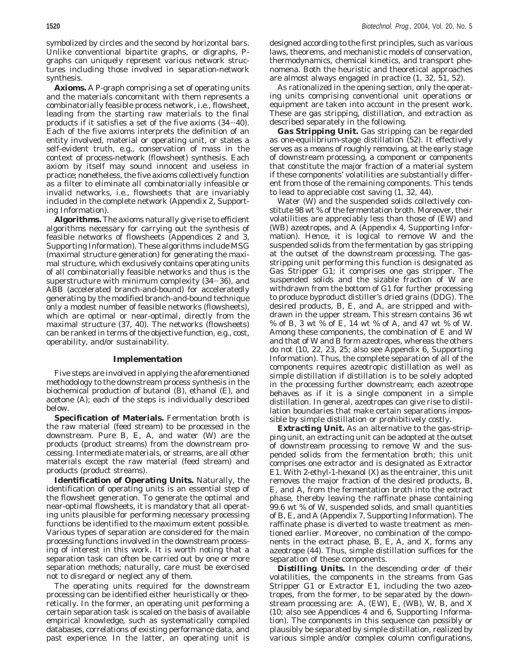symbolized by circles and the second by horizontal bars. Unlike conventional bipartite graphs, or digraphs, Pgraphs can uniquely represent various network structures including those involved in separation-network synthesis.

**Axioms.** A P-graph comprising a set of operating units and the materials concomitant with them represents a combinatorially feasible process network, i.e., flowsheet, leading from the starting raw materials to the final products if it satisfies a set of the five axioms (*34*-*40*). Each of the five axioms interprets the definition of an entity involved, material or operating unit, or states a self-evident truth, e.g., conservation of mass in the context of process-network (flowsheet) synthesis. Each axiom by itself may sound innocent and useless in practice; nonetheless, the five axioms collectively function as a filter to eliminate all combinatorially infeasible or invalid networks, i.e., flowsheets that are invariably included in the complete network (Appendix 2, Supporting Information).

**Algorithms.** The axioms naturally give rise to efficient algorithms necessary for carrying out the synthesis of feasible networks of flowsheets (Appendices 2 and 3, Supporting Information). These algorithms include MSG (maximal structure generation) for generating the maximal structure, which exclusively contains operating units of all combinatorially feasible networks and thus is the superstructure with minimum complexity (*34*-*36*), and ABB (accelerated branch-and-bound) for acceleratedly generating by the modified branch-and-bound technique only a modest number of feasible networks (flowsheets), which are optimal or near-optimal, directly from the maximal structure (*37, 40*). The networks (flowsheets) can be ranked in terms of the objective function, e.g., cost, operability, and/or sustainability.

#### **Implementation**

Five steps are involved in applying the aforementioned methodology to the downstream process synthesis in the biochemical production of butanol (B), ethanol (E), and acetone (A); each of the steps is individually described below.

**Specification of Materials.** Fermentation broth is the raw material (feed stream) to be processed in the downstream. Pure B, E, A, and water (W) are the products (product streams) from the downstream processing. Intermediate materials, or streams, are all other materials except the raw material (feed stream) and products (product streams).

**Identification of Operating Units.** Naturally, the identification of operating units is an essential step of the flowsheet generation. To generate the optimal and near-optimal flowsheets, it is mandatory that all operating units plausible for performing necessary processing functions be identified to the maximum extent possible. Various types of separation are considered for the main processing functions involved in the downstream processing of interest in this work. It is worth noting that a separation task can often be carried out by one or more separation methods; naturally, care must be exercised not to disregard or neglect any of them.

The operating units required for the downstream processing can be identified either heuristically or theoretically. In the former, an operating unit performing a certain separation task is scaled on the basis of available empirical knowledge, such as systematically compiled databases, correlations of existing performance data, and past experience. In the latter, an operating unit is

designed according to the first principles, such as various laws, theorems, and mechanistic models of conservation, thermodynamics, chemical kinetics, and transport phenomena. Both the heuristic and theoretical approaches are almost always engaged in practice (*1, 32, 51, 52*).

As rationalized in the opening section, only the operating units comprising conventional unit operations or equipment are taken into account in the present work. These are gas stripping, distillation, and extraction as described separately in the following.

*Gas Stripping Unit.* Gas stripping can be regarded as one-equilibrium-stage distillation (*52*). It effectively serves as a means of roughly removing, at the early stage of downstream processing, a component or components that constitute the major fraction of a material system if these components' volatilities are substantially different from those of the remaining components. This tends to lead to appreciable cost saving (*1, 32, 44*).

Water (W) and the suspended solids collectively constitute 98 wt % of the fermentation broth. Moreover, their volatilities are appreciably less than those of (EW) and (WB) azeotropes, and A (Appendix 4, Supporting Information). Hence, it is logical to remove W and the suspended solids from the fermentation by gas stripping at the outset of the downstream processing. The gasstripping unit performing this function is designated as Gas Stripper G1; it comprises one gas stripper. The suspended solids and the sizable fraction of W are withdrawn from the bottom of G1 for further processing to produce byproduct distiller's dried grains (DDG). The desired products, B, E, and A, are stripped and withdrawn in the upper stream. This stream contains 36 wt % of B, 3 wt % of E, 14 wt % of A, and 47 wt % of W. Among these components, the combination of E and W and that of W and B form azeotropes, whereas the others do not (*10, 22, 23, 25*; also see Appendix 6, Supporting Information). Thus, the complete separation of all of the components requires azeotropic distillation as well as simple distillation if distillation is to be solely adopted in the processing further downstream; each azeotrope behaves as if it is a single component in a simple distillation. In general, azeotropes can give rise to distillation boundaries that make certain separations impossible by simple distillation or prohibitively costly.

*Extracting Unit.* As an alternative to the gas-stripping unit, an extracting unit can be adopted at the outset of downstream processing to remove W and the suspended solids from the fermentation broth; this unit comprises one extractor and is designated as Extractor E1. With 2-ethyl-1-hexanol (X) as the entrainer, this unit removes the major fraction of the desired products, B, E, and A, from the fermentation broth into the extract phase, thereby leaving the raffinate phase containing 99.6 wt % of W, suspended solids, and small quantities of B, E, and A (Appendix 7, Supporting Information). The raffinate phase is diverted to waste treatment as mentioned earlier. Moreover, no combination of the components in the extract phase, B, E, A, and X, forms any azeotrope (*44*). Thus, simple distillation suffices for the separation of these components.

*Distilling Units.* In the descending order of their volatilities, the components in the streams from Gas Stripper G1 or Extractor E1, including the two azeotropes, from the former, to be separated by the downstream processing are: A, (EW), E, (WB), W, B, and X (*10*; also see Appendices 4 and 6, Supporting Information). The components in this sequence can possibly or plausibly be separated by simple distillation, realized by various simple and/or complex column configurations,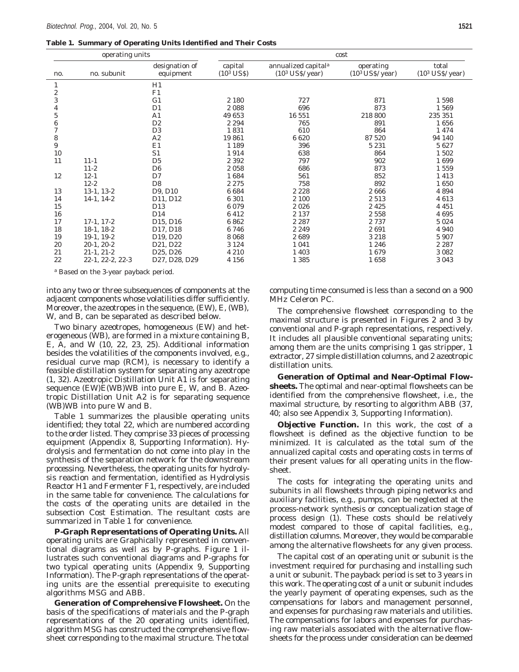**Table 1. Summary of Operating Units Identified and Their Costs**

| operating units  |                  |                                   | cost                    |                                                       |                                 |                             |  |
|------------------|------------------|-----------------------------------|-------------------------|-------------------------------------------------------|---------------------------------|-----------------------------|--|
| no.              | no. subunit      | designation of<br>equipment       | capital<br>$(103$ US\$) | annualized capital <sup>a</sup><br>$(103$ US\$/ year) | operating<br>$(103$ US\$/ year) | total<br>$(103 US\$ / year) |  |
| 1                |                  | H1                                |                         |                                                       |                                 |                             |  |
| $\boldsymbol{2}$ |                  | F1                                |                         |                                                       |                                 |                             |  |
| 3                |                  | G <sub>1</sub>                    | 2 1 8 0                 | 727                                                   | 871                             | 1598                        |  |
| 4                |                  | D <sub>1</sub>                    | 2088                    | 696                                                   | 873                             | 1569                        |  |
| 5                |                  | A1                                | 49 653                  | 16 551                                                | 218 800                         | 235 351                     |  |
| 6                |                  | D <sub>2</sub>                    | 2 2 9 4                 | 765                                                   | 891                             | 1656                        |  |
| $\overline{7}$   |                  | D <sub>3</sub>                    | 1831                    | 610                                                   | 864                             | 1474                        |  |
| 8                |                  | A2                                | 19861                   | 6620                                                  | 87 520                          | 94 140                      |  |
| 9                |                  | E1                                | 1 1 8 9                 | 396                                                   | 5 2 3 1                         | 5627                        |  |
| 10               |                  | S <sub>1</sub>                    | 1914                    | 638                                                   | 864                             | 1502                        |  |
| 11               | $11 - 1$         | D <sub>5</sub>                    | 2 3 9 2                 | 797                                                   | 902                             | 1699                        |  |
|                  | $11-2$           | D <sub>6</sub>                    | 2058                    | 686                                                   | 873                             | 1559                        |  |
| 12               | $12 - 1$         | D7                                | 1684                    | 561                                                   | 852                             | 1413                        |  |
|                  | $12 - 2$         | D <sub>8</sub>                    | 2 2 7 5                 | 758                                                   | 892                             | 1650                        |  |
| 13               | $13-1, 13-2$     | D9, D10                           | 6684                    | 2 2 2 8                                               | 2666                            | 4894                        |  |
| 14               | $14-1, 14-2$     | D11, D12                          | 6 301                   | 2 100                                                 | 2513                            | 4613                        |  |
| 15               |                  | D <sub>13</sub>                   | 6079                    | 2026                                                  | 2425                            | 4 4 5 1                     |  |
| 16               |                  | D14                               | 6412                    | 2 1 3 7                                               | 2558                            | 4695                        |  |
| 17               | $17-1, 17-2$     | D <sub>15</sub> , D <sub>16</sub> | 6862                    | 2 2 8 7                                               | 2737                            | 5 0 2 4                     |  |
| 18               | $18-1, 18-2$     | D17, D18                          | 6746                    | 2 2 4 9                                               | 2691                            | 4 9 4 0                     |  |
| 19               | $19-1, 19-2$     | D <sub>19</sub> , D <sub>20</sub> | 8068                    | 2689                                                  | 3218                            | 5 9 0 7                     |  |
| 20               | $20-1, 20-2$     | D <sub>21</sub> , D <sub>22</sub> | 3 1 2 4                 | 1 0 4 1                                               | 1 2 4 6                         | 2 2 8 7                     |  |
| 21               | $21-1, 21-2$     | D <sub>25</sub> , D <sub>26</sub> | 4 2 1 0                 | 1 4 0 3                                               | 1679                            | 3 0 8 2                     |  |
| 22               | 22-1, 22-2, 22-3 | D27, D28, D29                     | 4 1 5 6                 | 1 3 8 5                                               | 1658                            | 3 0 4 3                     |  |

*<sup>a</sup>* Based on the 3-year payback period.

into any two or three subsequences of components at the adjacent components whose volatilities differ sufficiently. Moreover, the azeotropes in the sequence, (EW), E, (WB), W, and B, can be separated as described below.

Two binary azeotropes, homogeneous (EW) and heterogeneous (WB), are formed in a mixture containing B, E, A, and W (*10, 22, 23, 25*). Additional information besides the volatilities of the components involved, e.g., residual curve map (RCM), is necessary to identify a feasible distillation system for separating any azeotrope (*1, 32*). Azeotropic Distillation Unit A1 is for separating sequence (EW)E(WB)WB into pure E, W, and B. Azeotropic Distillation Unit A2 is for separating sequence (WB)WB into pure W and B.

Table 1 summarizes the plausible operating units identified; they total 22, which are numbered according to the order listed. They comprise 33 pieces of processing equipment (Appendix 8, Supporting Information). Hydrolysis and fermentation do not come into play in the synthesis of the separation network for the downstream processing. Nevertheless, the operating units for hydrolysis reaction and fermentation, identified as Hydrolysis Reactor H1 and Fermenter F1, respectively, are included in the same table for convenience. The calculations for the costs of the operating units are detailed in the subsection Cost Estimation. The resultant costs are summarized in Table 1 for convenience.

**P-Graph Representations of Operating Units.** All operating units are Graphically represented in conventional diagrams as well as by P-graphs. Figure 1 illustrates such conventional diagrams and P-graphs for two typical operating units (Appendix 9, Supporting Information). The P-graph representations of the operating units are the essential prerequisite to executing algorithms MSG and ABB.

**Generation of Comprehensive Flowsheet.** On the basis of the specifications of materials and the P-graph representations of the 20 operating units identified, algorithm MSG has constructed the comprehensive flowsheet corresponding to the maximal structure. The total

computing time consumed is less than a second on a 900 MHz Celeron PC.

The comprehensive flowsheet corresponding to the maximal structure is presented in Figures 2 and 3 by conventional and P-graph representations, respectively. It includes all plausible conventional separating units; among them are the units comprising 1 gas stripper, 1 extractor, 27 simple distillation columns, and 2 azeotropic distillation units.

**Generation of Optimal and Near-Optimal Flowsheets.** The optimal and near-optimal flowsheets can be identified from the comprehensive flowsheet, i.e., the maximal structure, by resorting to algorithm ABB (*37, 40;* also see Appendix 3, Supporting Information).

**Objective Function.** In this work, the cost of a flowsheet is defined as the objective function to be minimized. It is calculated as the total sum of the annualized capital costs and operating costs in terms of their present values for all operating units in the flowsheet.

The costs for integrating the operating units and subunits in all flowsheets through piping networks and auxiliary facilities, e.g., pumps, can be neglected at the process-network synthesis or conceptualization stage of process design (*1*). These costs should be relatively modest compared to those of capital facilities, e.g., distillation columns. Moreover, they would be comparable among the alternative flowsheets for any given process.

The capital cost of an operating unit or subunit is the investment required for purchasing and installing such a unit or subunit. The payback period is set to 3 years in this work. The operating cost of a unit or subunit includes the yearly payment of operating expenses, such as the compensations for labors and management personnel, and expenses for purchasing raw materials and utilities. The compensations for labors and expenses for purchasing raw materials associated with the alternative flowsheets for the process under consideration can be deemed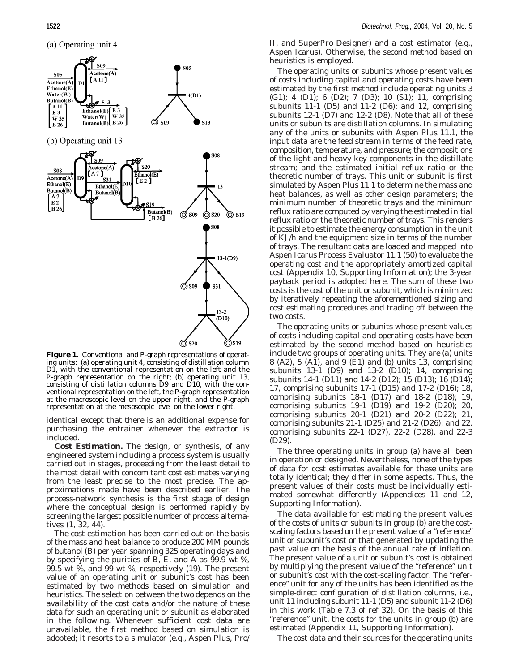(a) Operating unit 4



**Figure 1.** Conventional and P-graph representations of operating units: (a) operating unit 4, consisting of distillation column D<sub>1</sub>, with the conventional representation on the left and the P-graph representation on the right; (b) operating unit 13, consisting of distillation columns D9 and D10, with the conventional representation on the left, the P-graph representation at the macroscopic level on the upper right, and the P-graph representation at the mesoscopic level on the lower right.

identical except that there is an additional expense for purchasing the entrainer whenever the extractor is included.

*Cost Estimation.* The design, or synthesis, of any engineered system including a process system is usually carried out in stages, proceeding from the least detail to the most detail with concomitant cost estimates varying from the least precise to the most precise. The approximations made have been described earlier. The process-network synthesis is the first stage of design where the conceptual design is performed rapidly by screening the largest possible number of process alternatives (*1, 32, 44*).

The cost estimation has been carried out on the basis of the mass and heat balance to produce 200 MM pounds of butanol (B) per year spanning 325 operating days and by specifying the purities of B, E, and A as  $99.9$  wt %, 99.5 wt %, and 99 wt %, respectively (*19*). The present value of an operating unit or subunit's cost has been estimated by two methods based on simulation and heuristics. The selection between the two depends on the availability of the cost data and/or the nature of these data for such an operating unit or subunit as elaborated in the following. Whenever sufficient cost data are unavailable, the first method based on simulation is adopted; it resorts to a simulator (e.g., Aspen Plus, Pro/

II, and SuperPro Designer) and a cost estimator (e.g., Aspen Icarus). Otherwise, the second method based on heuristics is employed.

The operating units or subunits whose present values of costs including capital and operating costs have been estimated by the first method include operating units 3 (G1); 4 (D1); 6 (D2); 7 (D3); 10 (S1); 11, comprising subunits 11-1 (D5) and 11-2 (D6); and 12, comprising subunits 12-1 (D7) and 12-2 (D8). Note that all of these units or subunits are distillation columns. In simulating any of the units or subunits with Aspen Plus 11.1, the input data are the feed stream in terms of the feed rate, composition, temperature, and pressure; the compositions of the light and heavy key components in the distillate stream; and the estimated initial reflux ratio or the theoretic number of trays. This unit or subunit is first simulated by Aspen Plus 11.1 to determine the mass and heat balances, as well as other design parameters; the minimum number of theoretic trays and the minimum reflux ratio are computed by varying the estimated initial reflux ratio or the theoretic number of trays. This renders it possible to estimate the energy consumption in the unit of KJ/h and the equipment size in terms of the number of trays. The resultant data are loaded and mapped into Aspen Icarus Process Evaluator 11.1 (*50*) to evaluate the operating cost and the appropriately amortized capital cost (Appendix 10, Supporting Information); the 3-year payback period is adopted here. The sum of these two costs is the cost of the unit or subunit, which is minimized by iteratively repeating the aforementioned sizing and cost estimating procedures and trading off between the two costs.

The operating units or subunits whose present values of costs including capital and operating costs have been estimated by the second method based on heuristics include two groups of operating units. They are (a) units 8 (A2), 5 (A1), and 9 (E1) and (b) units 13, comprising subunits 13-1 (D9) and 13-2 (D10); 14, comprising subunits 14-1 (D11) and 14-2 (D12); 15 (D13); 16 (D14); 17, comprising subunits 17-1 (D15) and 17-2 (D16); 18, comprising subunits 18-1 (D17) and 18-2 (D18); 19, comprising subunits 19-1 (D19) and 19-2 (D20); 20, comprising subunits 20-1 (D21) and 20-2 (D22); 21, comprising subunits 21-1 (D25) and 21-2 (D26); and 22, comprising subunits 22-1 (D27), 22-2 (D28), and 22-3 (D29).

The three operating units in group (a) have all been in operation or designed. Nevertheless, none of the types of data for cost estimates available for these units are totally identical; they differ in some aspects. Thus, the present values of their costs must be individually estimated somewhat differently (Appendices 11 and 12, Supporting Information).

The data available for estimating the present values of the costs of units or subunits in group (b) are the costscaling factors based on the present value of a "reference" unit or subunit's cost or that generated by updating the past value on the basis of the annual rate of inflation. The present value of a unit or subunit's cost is obtained by multiplying the present value of the "reference" unit or subunit's cost with the cost-scaling factor. The "reference" unit for any of the units has been identified as the simple-direct configuration of distillation columns, i.e., unit 11 including subunit 11-1 (D5) and subunit 11-2 (D6) in this work (Table 7.3 of ref 32). On the basis of this "reference" unit, the costs for the units in group (b) are estimated (Appendix 11, Supporting Information).

The cost data and their sources for the operating units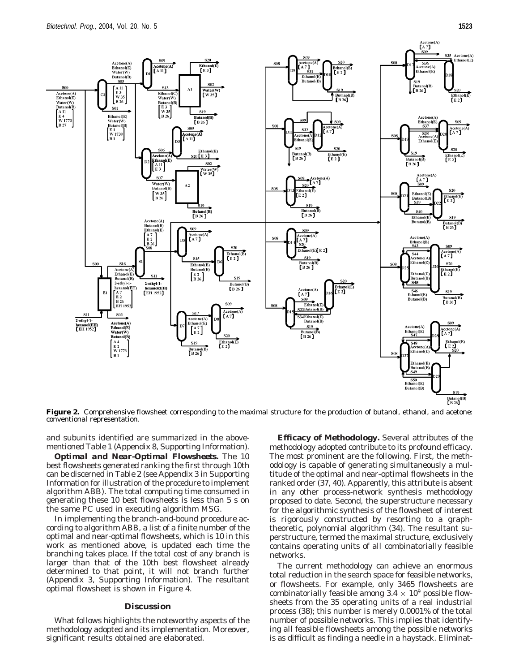

**Figure 2.** Comprehensive flowsheet corresponding to the maximal structure for the production of butanol, ethanol, and acetone: conventional representation.

and subunits identified are summarized in the abovementioned Table 1 (Appendix 8, Supporting Information).

*Optimal and Near-Optimal Flowsheets.* The 10 best flowsheets generated ranking the first through 10th can be discerned in Table 2 (see Appendix 3 in Supporting Information for illustration of the procedure to implement algorithm ABB). The total computing time consumed in generating these 10 best flowsheets is less than 5 s on the same PC used in executing algorithm MSG.

In implementing the branch-and-bound procedure according to algorithm ABB, a list of a finite number of the optimal and near-optimal flowsheets, which is 10 in this work as mentioned above, is updated each time the branching takes place. If the total cost of any branch is larger than that of the 10th best flowsheet already determined to that point, it will not branch further (Appendix 3, Supporting Information). The resultant optimal flowsheet is shown in Figure 4.

# **Discussion**

What follows highlights the noteworthy aspects of the methodology adopted and its implementation. Moreover, significant results obtained are elaborated.

**Efficacy of Methodology.** Several attributes of the methodology adopted contribute to its profound efficacy. The most prominent are the following. First, the methodology is capable of generating simultaneously a multitude of the optimal and near-optimal flowsheets in the ranked order (*37, 40*). Apparently, this attribute is absent in any other process-network synthesis methodology proposed to date. Second, the superstructure necessary for the algorithmic synthesis of the flowsheet of interest is rigorously constructed by resorting to a graphtheoretic, polynomial algorithm (*34*). The resultant superstructure, termed the maximal structure, exclusively contains operating units of all combinatorially feasible networks.

The current methodology can achieve an enormous total reduction in the search space for feasible networks, or flowsheets. For example, only 3465 flowsheets are combinatorially feasible among  $3.4 \times 10^9$  possible flowsheets from the 35 operating units of a real industrial process (38); this number is merely 0.0001% of the total number of possible networks. This implies that identifying all feasible flowsheets among the possible networks is as difficult as finding a needle in a haystack. Eliminat-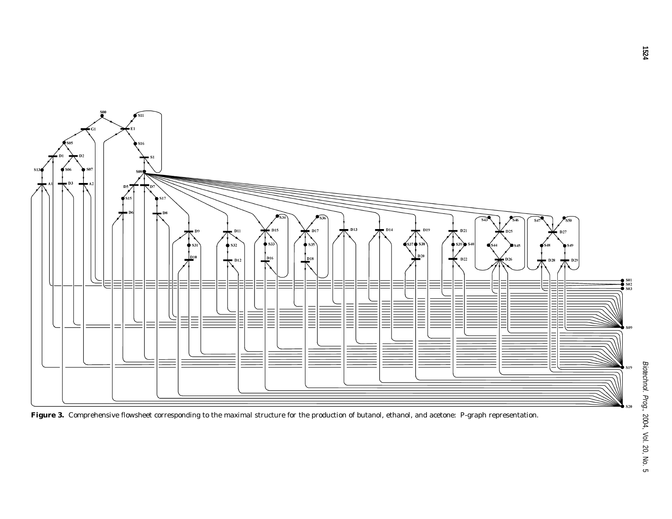

Figure 3. Comprehensive flowsheet corresponding to the maximal structure for the production of butanol, ethanol, and acetone: P-graph representation.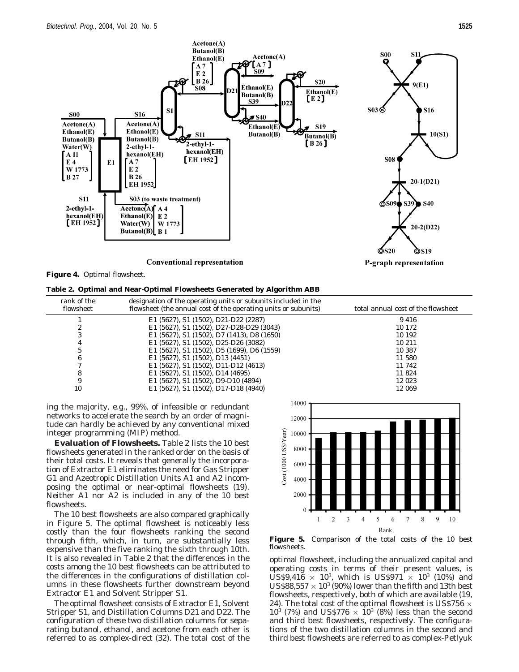

**Figure 4.** Optimal flowsheet.

|  |  | Table 2. Optimal and Near-Optimal Flowsheets Generated by Algorithm ABB |  |  |
|--|--|-------------------------------------------------------------------------|--|--|
|  |  |                                                                         |  |  |

| rank of the<br>flowsheet | designation of the operating units or subunits included in the<br>flowsheet (the annual cost of the operating units or subunits) | total annual cost of the flowsheet |
|--------------------------|----------------------------------------------------------------------------------------------------------------------------------|------------------------------------|
|                          | E1 (5627), S1 (1502), D21-D22 (2287)                                                                                             | 9416                               |
|                          | E1 (5627), S1 (1502), D27-D28-D29 (3043)                                                                                         | 10 172                             |
|                          | E1 (5627), S1 (1502), D7 (1413), D8 (1650)                                                                                       | 10 192                             |
| 4                        | E1 (5627), S1 (1502), D25-D26 (3082)                                                                                             | 10 211                             |
|                          | E1 (5627), S1 (1502), D5 (1699), D6 (1559)                                                                                       | 10 387                             |
| 6                        | E1 $(5627)$ , S1 $(1502)$ , D13 $(4451)$                                                                                         | 11 580                             |
|                          | E1 (5627), S1 (1502), D11-D12 (4613)                                                                                             | 11 742                             |
|                          | E1 (5627), S1 (1502), D14 (4695)                                                                                                 | 11824                              |
| 9                        | E1 (5627), S1 (1502), D9-D10 (4894)                                                                                              | 12 0 23                            |
| 10                       | E1 (5627), S1 (1502), D17-D18 (4940)                                                                                             | 12 069                             |

ing the majority, e.g., 99%, of infeasible or redundant networks to accelerate the search by an order of magnitude can hardly be achieved by any conventional mixed integer programming (MIP) method.

**Evaluation of Flowsheets.** Table 2 lists the 10 best flowsheets generated in the ranked order on the basis of their total costs. It reveals that generally the incorporation of Extractor E1 eliminates the need for Gas Stripper G1 and Azeotropic Distillation Units A1 and A2 incomposing the optimal or near-optimal flowsheets (*19*). Neither A1 nor A2 is included in any of the 10 best flowsheets.

The 10 best flowsheets are also compared graphically in Figure 5. The optimal flowsheet is noticeably less costly than the four flowsheets ranking the second through fifth, which, in turn, are substantially less expensive than the five ranking the sixth through 10th. It is also revealed in Table 2 that the differences in the costs among the 10 best flowsheets can be attributed to the differences in the configurations of distillation columns in these flowsheets further downstream beyond Extractor E1 and Solvent Stripper S1.

The optimal flowsheet consists of Extractor E1, Solvent Stripper S1, and Distillation Columns D21 and D22. The configuration of these two distillation columns for separating butanol, ethanol, and acetone from each other is referred to as complex-direct (*32*). The total cost of the



**Figure 5.** Comparison of the total costs of the 10 best flowsheets.

optimal flowsheet, including the annualized capital and operating costs in terms of their present values, is US\$9,416  $\times$  10<sup>3</sup>, which is US\$971  $\times$  10<sup>3</sup> (10%) and US\$88,557  $\times$  10<sup>3</sup> (90%) lower than the fifth and 13th best flowsheets, respectively, both of which are available (*19, 24*). The total cost of the optimal flowsheet is US\$756  $\times$  $10^{3}$  (7%) and US\$776  $\times$  10<sup>3</sup> (8%) less than the second and third best flowsheets, respectively. The configurations of the two distillation columns in the second and third best flowsheets are referred to as complex-Petlyuk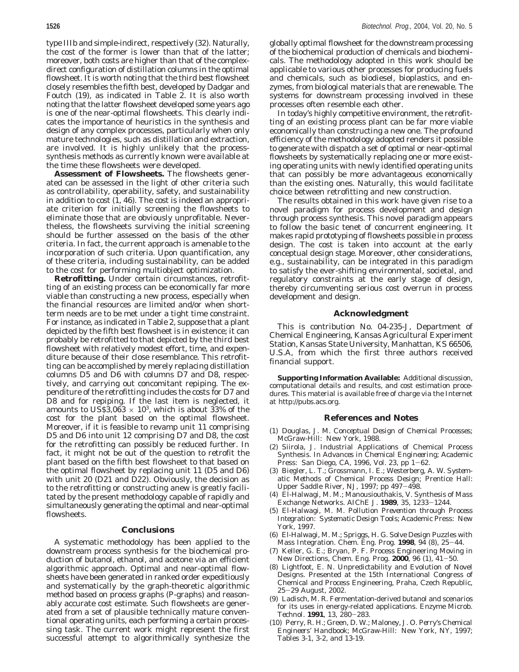type IIIb and simple-indirect, respectively (*32*). Naturally, the cost of the former is lower than that of the latter; moreover, both costs are higher than that of the complexdirect configuration of distillation columns in the optimal flowsheet. It is worth noting that the third best flowsheet closely resembles the fifth best, developed by Dadgar and Foutch (*19*), as indicated in Table 2. It is also worth noting that the latter flowsheet developed some years ago is one of the near-optimal flowsheets. This clearly indicates the importance of heuristics in the synthesis and design of any complex processes, particularly when only mature technologies, such as distillation and extraction, are involved. It is highly unlikely that the processsynthesis methods as currently known were available at the time these flowsheets were developed.

**Assessment of Flowsheets.** The flowsheets generated can be assessed in the light of other criteria such as controllability, operability, safety, and sustainability in addition to cost (*1, 46*). The cost is indeed an appropriate criterion for initially screening the flowsheets to eliminate those that are obviously unprofitable. Nevertheless, the flowsheets surviving the initial screening should be further assessed on the basis of the other criteria. In fact, the current approach is amenable to the incorporation of such criteria. Upon quantification, any of these criteria, including sustainability, can be added to the cost for performing multiobject optimization.

**Retrofitting.** Under certain circumstances, retrofitting of an existing process can be economically far more viable than constructing a new process, especially when the financial resources are limited and/or when shortterm needs are to be met under a tight time constraint. For instance, as indicated in Table 2, suppose that a plant depicted by the fifth best flowsheet is in existence; it can probably be retrofitted to that depicted by the third best flowsheet with relatively modest effort, time, and expenditure because of their close resemblance. This retrofitting can be accomplished by merely replacing distillation columns D5 and D6 with columns D7 and D8, respectively, and carrying out concomitant repiping. The expenditure of the retrofitting includes the costs for D7 and D8 and for repiping. If the last item is neglected, it amounts to US\$3,063  $\times$  10<sup>3</sup>, which is about 33% of the cost for the plant based on the optimal flowsheet. Moreover, if it is feasible to revamp unit 11 comprising D5 and D6 into unit 12 comprising D7 and D8, the cost for the retrofitting can possibly be reduced further. In fact, it might not be out of the question to retrofit the plant based on the fifth best flowsheet to that based on the optimal flowsheet by replacing unit 11 (D5 and D6) with unit 20 (D21 and D22). Obviously, the decision as to the retrofitting or constructing anew is greatly facilitated by the present methodology capable of rapidly and simultaneously generating the optimal and near-optimal flowsheets.

### **Conclusions**

A systematic methodology has been applied to the downstream process synthesis for the biochemical production of butanol, ethanol, and acetone via an efficient algorithmic approach. Optimal and near-optimal flowsheets have been generated in ranked order expeditiously and systematically by the graph-theoretic algorithmic method based on process graphs (P-graphs) and reasonably accurate cost estimate. Such flowsheets are generated from a set of plausible technically mature conventional operating units, each performing a certain processing task. The current work might represent the first successful attempt to algorithmically synthesize the globally optimal flowsheet for the downstream processing of the biochemical production of chemicals and biochemicals. The methodology adopted in this work should be applicable to various other processes for producing fuels and chemicals, such as biodiesel, bioplastics, and enzymes, from biological materials that are renewable. The systems for downstream processing involved in these processes often resemble each other.

In today's highly competitive environment, the retrofitting of an existing process plant can be far more viable economically than constructing a new one. The profound efficiency of the methodology adopted renders it possible to generate with dispatch a set of optimal or near-optimal flowsheets by systematically replacing one or more existing operating units with newly identified operating units that can possibly be more advantageous economically than the existing ones. Naturally, this would facilitate choice between retrofitting and new construction.

The results obtained in this work have given rise to a novel paradigm for process development and design through process synthesis. This novel paradigm appears to follow the basic tenet of concurrent engineering. It makes rapid prototyping of flowsheets possible in process design. The cost is taken into account at the early conceptual design stage. Moreover, other considerations, e.g., sustainability, can be integrated in this paradigm to satisfy the ever-shifting environmental, societal, and regulatory constraints at the early stage of design, thereby circumventing serious cost overrun in process development and design.

#### **Acknowledgment**

This is contribution No. 04-235-J, Department of Chemical Engineering, Kansas Agricultural Experiment Station, Kansas State University, Manhattan, KS 66506, U.S.A, from which the first three authors received financial support.

**Supporting Information Available:** Additional discussion, computational details and results, and cost estimation procedures. This material is available free of charge via the Internet at http://pubs.acs.org.

### **References and Notes**

- (1) Douglas, J. M. *Conceptual Design of Chemical Processes*; McGraw-Hill: New York, 1988.
- (2) Siirola, J. Industrial Applications of Chemical Process Synthesis. In *Advances in Chemical Engineering*; Academic Press: San Diego, CA, 1996, Vol. 23, pp 1-62.
- (3) Biegler, L. T.; Grossmann, I. E.; Westerberg, A. W. *Systematic Methods of Chemical Process Design*; Prentice Hall: Upper Saddle River, NJ, 1997; pp 497-498.
- (4) El-Halwagi, M. M.; Manousiouthakis, V. Synthesis of Mass Exchange Networks. *AIChE J.* **<sup>1989</sup>**, *<sup>35</sup>*, 1233-1244.
- (5) El-Halwagi, M. M. *Pollution Prevention through Process Integration: Systematic Design Tools*; Academic Press: New York, 1997.
- (6) El-Halwagi, M. M.; Spriggs, H. G. Solve Design Puzzles with Mass Integration. *Chem. Eng. Prog.* **<sup>1998</sup>**, *<sup>94</sup>* (8), 25-44.
- (7) Keller, G. E.; Bryan, P. F. Process Engineering Moving in New Directions, *Chem. Eng. Prog.* **<sup>2000</sup>**, *<sup>96</sup>* (1), 41-50.
- (8) Lightfoot, E. N. Unpredictability and Evolution of Novel Designs. Presented at the 15th International Congress of Chemical and Process Engineering, Praha, Czech Republic, <sup>25</sup>-29 August, 2002.
- (9) Ladisch, M. R. Fermentation-derived butanol and scenarios for its uses in energy-related applications. *Enzyme Microb. Technol.* **<sup>1991</sup>**, *<sup>13</sup>*, 280-283.
- (10) Perry, R. H.; Green, D. W.; Maloney, J. O. *Perry's Chemical Engineers' Handbook*; McGraw-Hill: New York, NY, 1997; Tables 3-1, 3-2, and 13-19.